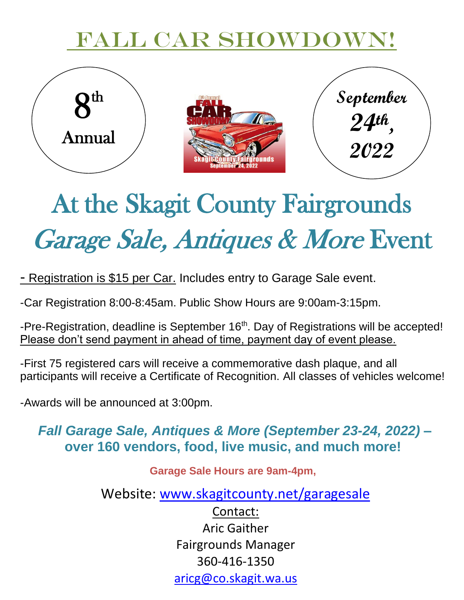## FALL CAR SHOWDOWN!



# At the Skagit County Fairgrounds Garage Sale, Antiques & More Event

- Registration is \$15 per Car. Includes entry to Garage Sale event.

-Car Registration 8:00-8:45am. Public Show Hours are 9:00am-3:15pm.

-Pre-Registration, deadline is September 16<sup>th</sup>. Day of Registrations will be accepted!<br><u>Please don't send payment in ahead of time, payment day of event please.</u> Please don't send payment in ahead of time, payment day of event please.

-First 75 registered cars will receive a commemorative dash plaque, and all participants will receive a Certificate of Recognition. All classes of vehicles welcome!

-Awards will be announced at 3:00pm.

### *Fall Garage Sale, Antiques & More (September 23-24, 2022) –* **over 160 vendors, food, live music, and much more!**

**Garage Sale Hours are 9am-4pm,** 

Website: [www.skagitcounty.net/garagesale](http://www.skagitcounty.net/garagesale)

Contact: Aric Gaither Fairgrounds Manager 360-416-1350 [aricg@co.skagit.wa.us](mailto:aricg@co.skagit.wa.us)